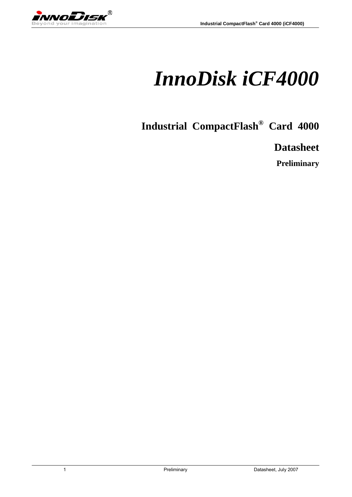wwoDisk  $^{\circledR}$ 

# *InnoDisk iCF4000*

**Industrial CompactFlash® Card 4000** 

**Datasheet** 

**Preliminary**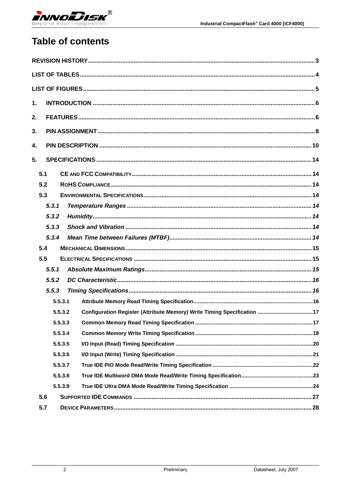

# **Table of contents**

| 1.  |         |         |  |
|-----|---------|---------|--|
| 2.  |         |         |  |
| 3.  |         |         |  |
| 4.  |         |         |  |
| 5.  |         |         |  |
| 5.1 |         |         |  |
| 5.2 |         |         |  |
| 5.3 |         |         |  |
|     | 5, 3, 1 |         |  |
|     | 5.3.2   |         |  |
|     | 5,3,3   |         |  |
|     | 5.3.4   |         |  |
| 5.4 |         |         |  |
| 5.5 |         |         |  |
|     | 5.5.1   |         |  |
|     | 5.5.2   |         |  |
|     | 5.5.3   |         |  |
|     | 5.5.3.1 |         |  |
|     | 5.5.3.2 |         |  |
|     |         | 5.5.3.3 |  |
|     |         |         |  |
|     | 5.5.3.4 |         |  |
|     | 5.5.3.5 |         |  |
|     | 5.5.3.6 |         |  |
|     | 5.5.3.7 |         |  |
|     | 5.5.3.8 |         |  |
|     | 5.5.3.9 |         |  |
| 5.6 |         |         |  |
| 5.7 |         |         |  |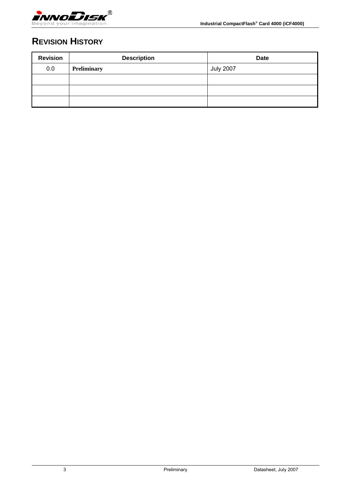<span id="page-2-0"></span>

# **REVISION HISTORY**

| <b>Revision</b> | <b>Description</b> | <b>Date</b>      |
|-----------------|--------------------|------------------|
| 0.0             | <b>Preliminary</b> | <b>July 2007</b> |
|                 |                    |                  |
|                 |                    |                  |
|                 |                    |                  |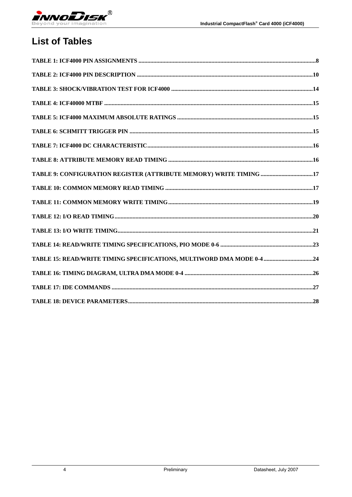<span id="page-3-0"></span>

# **List of Tables**

| TABLE 9: CONFIGURATION REGISTER (ATTRIBUTE MEMORY) WRITE TIMING 17    |  |
|-----------------------------------------------------------------------|--|
|                                                                       |  |
|                                                                       |  |
|                                                                       |  |
|                                                                       |  |
|                                                                       |  |
| TABLE 15: READ/WRITE TIMING SPECIFICATIONS, MULTIWORD DMA MODE 0-4 24 |  |
|                                                                       |  |
|                                                                       |  |
|                                                                       |  |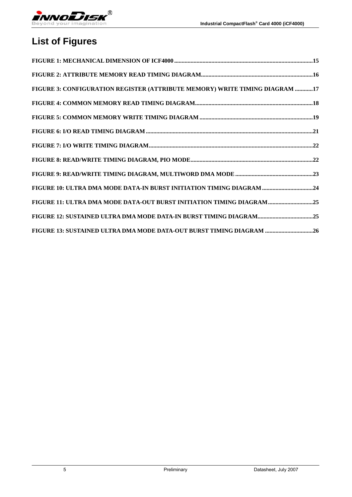<span id="page-4-0"></span>

# **List of Figures**

| FIGURE 3: CONFIGURATION REGISTER (ATTRIBUTE MEMORY) WRITE TIMING DIAGRAM 17 |  |
|-----------------------------------------------------------------------------|--|
|                                                                             |  |
|                                                                             |  |
|                                                                             |  |
|                                                                             |  |
|                                                                             |  |
|                                                                             |  |
|                                                                             |  |
| FIGURE 11: ULTRA DMA MODE DATA-OUT BURST INITIATION TIMING DIAGRAM 25       |  |
|                                                                             |  |
| FIGURE 13: SUSTAINED ULTRA DMA MODE DATA-OUT BURST TIMING DIAGRAM 26        |  |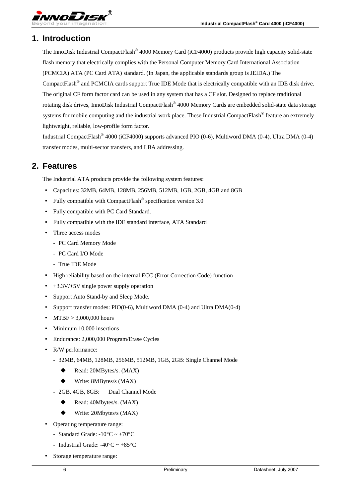### <span id="page-5-0"></span>**1. Introduction**

The InnoDisk Industrial CompactFlash® 4000 Memory Card (iCF4000) products provide high capacity solid-state flash memory that electrically complies with the Personal Computer Memory Card International Association (PCMCIA) ATA (PC Card ATA) standard. (In Japan, the applicable standards group is JEIDA.) The CompactFlash® and PCMCIA cards support True IDE Mode that is electrically compatible with an IDE disk drive. The original CF form factor card can be used in any system that has a CF slot. Designed to replace traditional rotating disk drives, InnoDisk Industrial CompactFlash® 4000 Memory Cards are embedded solid-state data storage systems for mobile computing and the industrial work place. These Industrial CompactFlash<sup>®</sup> feature an extremely lightweight, reliable, low-profile form factor.

Industrial CompactFlash® 4000 (iCF4000) supports advanced PIO (0-6), Multiword DMA (0-4), Ultra DMA (0-4) transfer modes, multi-sector transfers, and LBA addressing.

### **2. Features**

The Industrial ATA products provide the following system features:

- ‧ Capacities: 32MB, 64MB, 128MB, 256MB, 512MB, 1GB, 2GB, 4GB and 8GB
- Fully compatible with CompactFlash<sup>®</sup> specification version 3.0
- ‧ Fully compatible with PC Card Standard.
- ‧ Fully compatible with the IDE standard interface, ATA Standard
- Three access modes
	- PC Card Memory Mode
	- PC Card I/O Mode
	- True IDE Mode
- ‧ High reliability based on the internal ECC (Error Correction Code) function
- $+3.3V/+5V$  single power supply operation
- ‧ Support Auto Stand-by and Sleep Mode.
- ‧ Support transfer modes: PIO(0-6), Multiword DMA (0-4) and Ultra DMA(0-4)
- $MTBF > 3,000,000$  hours
- Minimum 10,000 insertions
- Endurance: 2,000,000 Program/Erase Cycles
- R/W performance:
	- 32MB, 64MB, 128MB, 256MB, 512MB, 1GB, 2GB: Single Channel Mode
		- Read: 20MBytes/s. (MAX)
		- ◆ Write: 8MBytes/s (MAX)
	- 2GB, 4GB, 8GB: Dual Channel Mode
		- ◆ Read: 40Mbytes/s. (MAX)
		- Write: 20Mbytes/s (MAX)
- ‧ Operating temperature range:
	- Standard Grade: -10 $^{\circ}$ C ~ +70 $^{\circ}$ C
	- Industrial Grade: -40 $\degree$ C ~ +85 $\degree$ C
- ‧ Storage temperature range: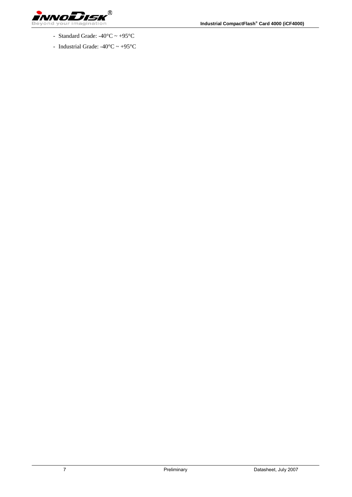

- Standard Grade:  $-40^{\circ}$ C ~  $+95^{\circ}$ C
- Industrial Grade:  $-40^{\circ}$ C ~  $+95^{\circ}$ C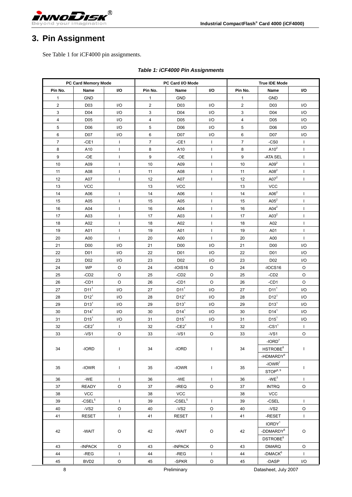<span id="page-7-0"></span>

# **3. Pin Assignment**

See Table 1 for iCF4000 pin assignments.

|                | PC Card Memory Mode |              |                | PC Card I/O Mode |              | <b>True IDE Mode</b>    |                       |                |
|----------------|---------------------|--------------|----------------|------------------|--------------|-------------------------|-----------------------|----------------|
| Pin No.        | Name                | I/O          | Pin No.        | Name             | I/O          | Pin No.                 | Name                  | VO             |
| 1              | <b>GND</b>          |              | 1              | <b>GND</b>       |              | 1                       | <b>GND</b>            |                |
| 2              | D <sub>03</sub>     | I/O          | $\overline{c}$ | D <sub>03</sub>  | I/O          | $\overline{\mathbf{c}}$ | D <sub>03</sub>       | I/O            |
| 3              | D04                 | I/O          | 3              | D04              | I/O          | 3                       | D04                   | I/O            |
| 4              | D <sub>05</sub>     | I/O          | $\overline{4}$ | D <sub>05</sub>  | I/O          | 4                       | D <sub>05</sub>       | I/O            |
| 5              | D06                 | I/O          | 5              | D <sub>06</sub>  | I/O          | 5                       | D <sub>06</sub>       | I/O            |
| 6              | D07                 | I/O          | 6              | D07              | I/O          | 6                       | D07                   | I/O            |
| $\overline{7}$ | $-CE1$              | $\mathbf{I}$ | $\overline{7}$ | $-CE1$           | $\mathbf{I}$ | $\overline{7}$          | $-CS0$                | $\mathsf{I}$   |
| 8              | A10                 | $\mathbf{I}$ | 8              | A10              | $\mathbf{I}$ | 8                       | $A10^2$               | T              |
| 9              | -OE                 | $\mathbf{I}$ | 9              | $-OE$            | $\mathbf{I}$ | 9                       | -ATA SEL              | L              |
| 10             | A09                 | $\mathbf{I}$ | 10             | A09              | $\mathbf{I}$ | 10                      | $A09^2$               | $\mathbf{I}$   |
| 11             | A08                 | $\mathbf{I}$ | 11             | A08              | T            | 11                      | $\mathsf{A08}^2$      | $\overline{1}$ |
| 12             | A07                 | $\mathbf{I}$ | 12             | A07              | $\mathbf{I}$ | 12                      | A07 <sup>2</sup>      | $\mathbf{I}$   |
| 13             | <b>VCC</b>          |              | 13             | <b>VCC</b>       |              | 13                      | <b>VCC</b>            |                |
| 14             | A06                 | $\mathbf{I}$ | 14             | A06              | $\mathbf{I}$ | 14                      | $\mathsf{A06}^2$      | I              |
| 15             | A05                 | $\mathbf{I}$ | 15             | A05              | $\mathbf{I}$ | 15                      | $A05^2$               | T              |
| 16             | A04                 | $\mathbf{I}$ | 16             | A04              | $\mathbf{I}$ | 16                      | $A04^2$               | T              |
| 17             | A03                 | $\mathbf{I}$ | 17             | A03              | $\mathbf{I}$ | 17                      | A03 <sup>2</sup>      | T              |
| 18             | A02                 | $\mathbf{I}$ | 18             | A02              | $\mathbf{I}$ | 18                      | A02                   | T              |
| 19             | A01                 | $\mathbf{I}$ | 19             | A01              | J.           | 19                      | A01                   | T              |
| 20             | A00                 | $\mathbf{I}$ | 20             | A00              | $\mathbf{I}$ | 20                      | A00                   | $\mathbf{I}$   |
| 21             | D <sub>00</sub>     | I/O          | 21             | D <sub>00</sub>  | I/O          | 21                      | D <sub>0</sub>        | I/O            |
| 22             | D01                 | I/O          | 22             | D01              | I/O          | 22                      | D01                   | I/O            |
| 23             | D <sub>02</sub>     | I/O          | 23             | D <sub>02</sub>  | I/O          | 23                      | D <sub>02</sub>       | I/O            |
| 24             | <b>WP</b>           | $\circ$      | 24             | $-IOIS16$        | O            | 24                      | $-IOCS16$             | O              |
| 25             | $-CD2$              | O            | 25             | $-CD2$           | O            | 25                      | $-CD2$                | O              |
| 26             | $-CD1$              | O            | 26             | $-CD1$           | O            | 26                      | $-CD1$                | $\circ$        |
| 27             | D11 <sup>1</sup>    | I/O          | 27             | D11 <sup>1</sup> | I/O          | 27                      | D11 <sup>1</sup>      | I/O            |
| 28             | $D12^1$             | I/O          | 28             | $D12^1$          | I/O          | 28                      | $D12^1$               | I/O            |
| 29             | D13 <sup>1</sup>    | I/O          | 29             | D13 <sup>1</sup> | I/O          | 29                      | D13 <sup>1</sup>      | I/O            |
| 30             | D14 <sup>1</sup>    | I/O          | 30             | D14 <sup>1</sup> | I/O          | 30                      | D14 <sup>1</sup>      | I/O            |
| 31             | $D15^1$             | I/O          | 31             | $D15^1$          | I/O          | 31                      | $D15^1$               | I/O            |
| 32             | $-CE21$             | $\mathbf{I}$ | 32             | $-CE21$          | $\mathbf{I}$ | 32                      | $-CS11$               | L              |
| 33             | $-VS1$              | O            | 33             | -VS1             | O            | 33                      | $-VS1$                | O              |
|                |                     |              |                |                  |              |                         | -IORD <sup>7</sup>    |                |
| 34             | $-IORD$             | $\mathbf{I}$ | 34             | -IORD            | $\mathsf{I}$ | 34                      | HSTROBE <sup>8</sup>  | L              |
|                |                     |              |                |                  |              |                         | -HDMARDY <sup>9</sup> |                |
|                |                     |              | 35             |                  | $\mathbf{I}$ |                         | $-IOWR7$              |                |
| 35             | -IOWR               | T            |                | -IOWR            |              | 35                      | STOP <sup>8, 9</sup>  | T              |
| 36             | -WE                 | $\mathbf{I}$ | 36             | $-WE$            | $\mathbf{I}$ | 36                      | $-WE3$                | L              |
| 37             | <b>READY</b>        | $\circ$      | 37             | $-IREQ$          | $\circ$      | 37                      | <b>INTRQ</b>          | $\circ$        |
| 38             | VCC                 |              | 38             | <b>VCC</b>       |              | 38                      | VCC                   |                |
| 39             | $-CSEL5$            | $\mathbf{I}$ | 39             | -CSEL $^5$       | $\mathbf{I}$ | 39                      | $-CSEL$               | L              |
| 40             | $-VS2$              | $\circ$      | 40             | $-VS2$           | $\mathsf O$  | 40                      | $-VS2$                | $\circ$        |
| 41             | <b>RESET</b>        | $\mathbf{I}$ | 41             | <b>RESET</b>     | $\mathbf{I}$ | 41                      | -RESET                | $\mathbf{I}$   |
|                |                     |              |                |                  |              |                         | $\mathsf{IONDY}^1$    |                |
| 42             | -WAIT               | $\circ$      | 42             | -WAIT            | O            | 42                      | -DDMARD $Y^8$         | O              |
|                |                     |              |                |                  |              |                         | DSTROBE <sup>9</sup>  |                |
| 43             | -INPACK             | $\mathsf O$  | 43             | -INPACK          | $\circ$      | 43                      | <b>DMARQ</b>          | O              |
| 44             | $-$ REG             | $\mathbf{I}$ | 44             | $-REG$           | $\mathbf{I}$ | 44                      | -DMAC $K^6$           | $\mathbf{I}$   |
| 45             | BVD <sub>2</sub>    | $\circ$      | 45             | -SPKR            | $\circ$      | 45                      | $-DASP$               | I/O            |
| $\bf 8$        |                     |              |                | Preliminary      |              |                         | Datasheet, July 2007  |                |

#### *Table 1: iCF4000 Pin Assignments*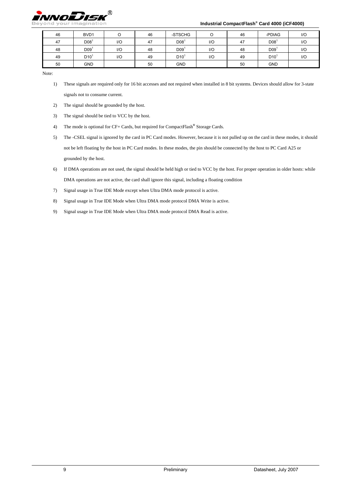

#### **Industrial CompactFlash® Card 4000 (iCF4000)**

| 46 | BVD1             |     | 46 | -STSCHG         | ◡   | 46 | -PDIAG          | 1/O |
|----|------------------|-----|----|-----------------|-----|----|-----------------|-----|
| 47 | D08 <sup>1</sup> | 1/O | 47 | D08             | $U$ | 47 | D08             | 1/O |
| 48 | D09 <sup>1</sup> | I/O | 48 | D <sub>09</sub> | 1/O | 48 | D <sub>09</sub> | 1/C |
| 49 | D10 <sup>1</sup> | 1/O | 49 | D <sub>10</sub> | 1/O | 49 | D10             | 1/O |
| 50 | <b>GND</b>       |     | 50 | <b>GND</b>      |     | 50 | <b>GND</b>      |     |

Note:

- 1) These signals are required only for 16 bit accesses and not required when installed in 8 bit systems. Devices should allow for 3-state signals not to consume current.
- 2) The signal should be grounded by the host.
- 3) The signal should be tied to VCC by the host.
- 4) The mode is optional for CF+ Cards, but required for CompactFlash**®** Storage Cards.
- 5) The -CSEL signal is ignored by the card in PC Card modes. However, because it is not pulled up on the card in these modes, it should not be left floating by the host in PC Card modes. In these modes, the pin should be connected by the host to PC Card A25 or grounded by the host.
- 6) If DMA operations are not used, the signal should be held high or tied to VCC by the host. For proper operation in older hosts: while DMA operations are not active, the card shall ignore this signal, including a floating condition
- 7) Signal usage in True IDE Mode except when Ultra DMA mode protocol is active.
- 8) Signal usage in True IDE Mode when Ultra DMA mode protocol DMA Write is active.
- 9) Signal usage in True IDE Mode when Ultra DMA mode protocol DMA Read is active.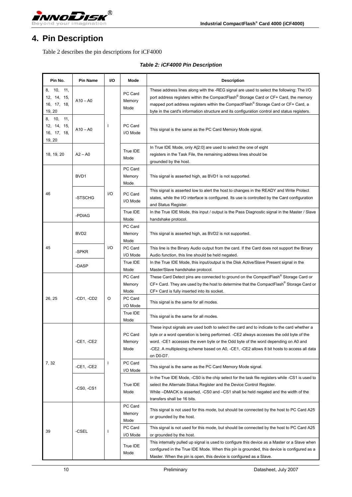<span id="page-9-0"></span>

# **4. Pin Description**

Table 2 describes the pin descriptions for iCF4000

| Pin No.                                               | <b>Pin Name</b>                         | <b>VO</b> | Mode                      | <b>Description</b>                                                                                                                                                                                                                                                                                                                                                                 |
|-------------------------------------------------------|-----------------------------------------|-----------|---------------------------|------------------------------------------------------------------------------------------------------------------------------------------------------------------------------------------------------------------------------------------------------------------------------------------------------------------------------------------------------------------------------------|
| 8.<br>10, 11,<br>12, 14, 15,<br>16, 17, 18,<br>19, 20 | $A10 - A0$                              |           | PC Card<br>Memory<br>Mode | These address lines along with the -REG signal are used to select the following: The I/O<br>port address registers within the CompactFlash® Storage Card or CF+ Card, the memory<br>mapped port address registers within the CompactFlash® Storage Card or CF+ Card, a<br>byte in the card's information structure and its configuration control and status registers.             |
| 10, 11,<br>8.<br>12, 14, 15,<br>16, 17, 18,<br>19, 20 | $\mathbf{I}$<br>$A10 - A0$<br>$A2 - A0$ |           | PC Card<br>I/O Mode       | This signal is the same as the PC Card Memory Mode signal.                                                                                                                                                                                                                                                                                                                         |
| 18, 19, 20                                            |                                         |           | True IDE<br>Mode          | In True IDE Mode, only A[2:0] are used to select the one of eight<br>registers in the Task File, the remaining address lines should be<br>grounded by the host.                                                                                                                                                                                                                    |
|                                                       | BVD1                                    |           | PC Card<br>Memory<br>Mode | This signal is asserted high, as BVD1 is not supported.                                                                                                                                                                                                                                                                                                                            |
| 46                                                    | -STSCHG                                 | I/O       | PC Card<br>I/O Mode       | This signal is asserted low to alert the host to changes in the READY and Write Protect<br>states, while the I/O interface is configured. Its use is controlled by the Card configuration<br>and Status Register.                                                                                                                                                                  |
|                                                       | -PDIAG                                  |           | True IDE<br>Mode          | In the True IDE Mode, this input / output is the Pass Diagnostic signal in the Master / Slave<br>handshake protocol.                                                                                                                                                                                                                                                               |
|                                                       | BVD <sub>2</sub>                        |           | PC Card<br>Memory<br>Mode | This signal is asserted high, as BVD2 is not supported.                                                                                                                                                                                                                                                                                                                            |
| 45                                                    | -SPKR                                   | I/O       | PC Card<br>I/O Mode       | This line is the Binary Audio output from the card. If the Card does not support the Binary<br>Audio function, this line should be held negated.                                                                                                                                                                                                                                   |
|                                                       | -DASP                                   |           | True IDE<br>Mode          | In the True IDE Mode, this input/output is the Disk Active/Slave Present signal in the<br>Master/Slave handshake protocol.                                                                                                                                                                                                                                                         |
|                                                       | $-CD1, -CD2$                            | O         | PC Card<br>Memory<br>Mode | These Card Detect pins are connected to ground on the CompactFlash® Storage Card or<br>CF+ Card. They are used by the host to determine that the CompactFlash® Storage Card or<br>CF+ Card is fully inserted into its socket.                                                                                                                                                      |
| 26, 25                                                |                                         |           | PC Card<br>I/O Mode       | This signal is the same for all modes.                                                                                                                                                                                                                                                                                                                                             |
|                                                       |                                         |           | True IDE<br>Mode          | This signal is the same for all modes.                                                                                                                                                                                                                                                                                                                                             |
|                                                       | -CE1, -CE2                              |           | PC Card<br>Memory<br>Mode | These input signals are used both to select the card and to indicate to the card whether a<br>byte or a word operation is being performed. -CE2 always accesses the odd byte of the<br>word. -CE1 accesses the even byte or the Odd byte of the word depending on A0 and<br>-CE2. A multiplexing scheme based on A0, -CE1, -CE2 allows 8 bit hosts to access all data<br>on D0-D7. |
| 7, 32                                                 | -CE1, -CE2                              | I         | PC Card<br>I/O Mode       | This signal is the same as the PC Card Memory Mode signal.                                                                                                                                                                                                                                                                                                                         |
|                                                       | $-CS0, -CS1$                            |           | True IDE<br>Mode          | In the True IDE Mode, -CS0 is the chip select for the task file registers while -CS1 is used to<br>select the Alternate Status Register and the Device Control Register.<br>While -DMACK is asserted, -CS0 and -CS1 shall be held negated and the width of the<br>transfers shall be 16 bits.                                                                                      |
|                                                       |                                         |           | PC Card<br>Memory<br>Mode | This signal is not used for this mode, but should be connected by the host to PC Card A25<br>or grounded by the host.                                                                                                                                                                                                                                                              |
| 39                                                    | -CSEL                                   | ı         | PC Card<br>I/O Mode       | This signal is not used for this mode, but should be connected by the host to PC Card A25<br>or grounded by the host.                                                                                                                                                                                                                                                              |
|                                                       |                                         |           |                           | True IDE<br>Mode                                                                                                                                                                                                                                                                                                                                                                   |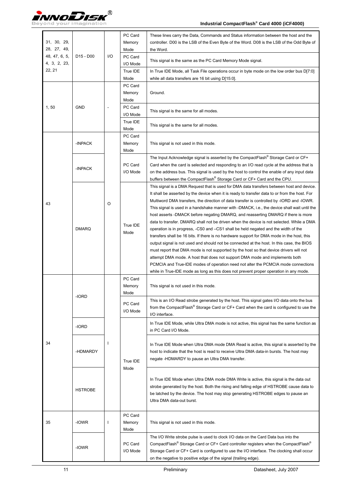

| 31, 30, 29,<br>28, 27, 49,    |                                   |     | PC Card<br>Memory<br>Mode | These lines carry the Data, Commands and Status information between the host and the<br>controller. D00 is the LSB of the Even Byte of the Word. D08 is the LSB of the Odd Byte of<br>the Word.                                                                                                                                                                                                                                                                                                                                                                                                                                                                                                                                                                                                                                                                                                                                                                                                                                                                                                                                                                                                                  |
|-------------------------------|-----------------------------------|-----|---------------------------|------------------------------------------------------------------------------------------------------------------------------------------------------------------------------------------------------------------------------------------------------------------------------------------------------------------------------------------------------------------------------------------------------------------------------------------------------------------------------------------------------------------------------------------------------------------------------------------------------------------------------------------------------------------------------------------------------------------------------------------------------------------------------------------------------------------------------------------------------------------------------------------------------------------------------------------------------------------------------------------------------------------------------------------------------------------------------------------------------------------------------------------------------------------------------------------------------------------|
| 48, 47, 6, 5,<br>4, 3, 2, 23, | D <sub>15</sub> - D <sub>00</sub> | I/O | PC Card<br>I/O Mode       | This signal is the same as the PC Card Memory Mode signal.                                                                                                                                                                                                                                                                                                                                                                                                                                                                                                                                                                                                                                                                                                                                                                                                                                                                                                                                                                                                                                                                                                                                                       |
| 22, 21                        |                                   |     | True IDE<br>Mode          | In True IDE Mode, all Task File operations occur in byte mode on the low order bus D[7:0]<br>while all data transfers are 16 bit using D[15:0].                                                                                                                                                                                                                                                                                                                                                                                                                                                                                                                                                                                                                                                                                                                                                                                                                                                                                                                                                                                                                                                                  |
|                               |                                   |     | PC Card<br>Memory<br>Mode | Ground.                                                                                                                                                                                                                                                                                                                                                                                                                                                                                                                                                                                                                                                                                                                                                                                                                                                                                                                                                                                                                                                                                                                                                                                                          |
| 1,50                          | <b>GND</b>                        |     | PC Card<br>I/O Mode       | This signal is the same for all modes.                                                                                                                                                                                                                                                                                                                                                                                                                                                                                                                                                                                                                                                                                                                                                                                                                                                                                                                                                                                                                                                                                                                                                                           |
|                               |                                   |     | True IDE<br>Mode          | This signal is the same for all modes.                                                                                                                                                                                                                                                                                                                                                                                                                                                                                                                                                                                                                                                                                                                                                                                                                                                                                                                                                                                                                                                                                                                                                                           |
|                               | -INPACK                           |     | PC Card<br>Memory<br>Mode | This signal is not used in this mode.                                                                                                                                                                                                                                                                                                                                                                                                                                                                                                                                                                                                                                                                                                                                                                                                                                                                                                                                                                                                                                                                                                                                                                            |
|                               | -INPACK                           |     | PC Card<br>I/O Mode       | The Input Acknowledge signal is asserted by the CompactFlash <sup>®</sup> Storage Card or CF+<br>Card when the card is selected and responding to an I/O read cycle at the address that is<br>on the address bus. This signal is used by the host to control the enable of any input data<br>buffers between the CompactFlash® Storage Card or CF+ Card and the CPU.                                                                                                                                                                                                                                                                                                                                                                                                                                                                                                                                                                                                                                                                                                                                                                                                                                             |
| 43                            | <b>DMARQ</b>                      | O   | True IDE<br>Mode          | This signal is a DMA Request that is used for DMA data transfers between host and device.<br>It shall be asserted by the device when it is ready to transfer data to or from the host. For<br>Multiword DMA transfers, the direction of data transfer is controlled by -IORD and -IOWR.<br>This signal is used in a handshake manner with -DMACK, i.e., the device shall wait until the<br>host asserts -DMACK before negating DMARQ, and reasserting DMARQ if there is more<br>data to transfer. DMARQ shall not be driven when the device is not selected. While a DMA<br>operation is in progress, -CS0 and -CS1 shall be held negated and the width of the<br>transfers shall be 16 bits. If there is no hardware support for DMA mode in the host, this<br>output signal is not used and should not be connected at the host. In this case, the BIOS<br>must report that DMA mode is not supported by the host so that device drivers will not<br>attempt DMA mode. A host that does not support DMA mode and implements both<br>PCMCIA and True-IDE modes of operation need not alter the PCMCIA mode connections<br>while in True-IDE mode as long as this does not prevent proper operation in any mode. |
|                               | -IORD                             |     | PC Card<br>Memory<br>Mode | This signal is not used in this mode.                                                                                                                                                                                                                                                                                                                                                                                                                                                                                                                                                                                                                                                                                                                                                                                                                                                                                                                                                                                                                                                                                                                                                                            |
|                               |                                   |     | PC Card<br>I/O Mode       | This is an I/O Read strobe generated by the host. This signal gates I/O data onto the bus<br>from the CompactFlash <sup>®</sup> Storage Card or CF+ Card when the card is configured to use the<br>I/O interface.                                                                                                                                                                                                                                                                                                                                                                                                                                                                                                                                                                                                                                                                                                                                                                                                                                                                                                                                                                                                |
|                               | -IORD                             |     |                           | In True IDE Mode, while Ultra DMA mode is not active, this signal has the same function as<br>in PC Card I/O Mode.                                                                                                                                                                                                                                                                                                                                                                                                                                                                                                                                                                                                                                                                                                                                                                                                                                                                                                                                                                                                                                                                                               |
| 34                            | -HDMARDY                          |     | True IDE<br>Mode          | In True IDE Mode when Ultra DMA mode DMA Read is active, this signal is asserted by the<br>host to indicate that the host is read to receive Ultra DMA data-in bursts. The host may<br>negate -HDMARDY to pause an Ultra DMA transfer.                                                                                                                                                                                                                                                                                                                                                                                                                                                                                                                                                                                                                                                                                                                                                                                                                                                                                                                                                                           |
|                               | <b>HSTROBE</b>                    |     |                           | In True IDE Mode when Ultra DMA mode DMA Write is active, this signal is the data out<br>strobe generated by the host. Both the rising and falling edge of HSTROBE cause data to<br>be latched by the device. The host may stop generating HSTROBE edges to pause an<br>Ultra DMA data-out burst.                                                                                                                                                                                                                                                                                                                                                                                                                                                                                                                                                                                                                                                                                                                                                                                                                                                                                                                |
| 35                            | -IOWR                             | ı   | PC Card<br>Memory<br>Mode | This signal is not used in this mode.                                                                                                                                                                                                                                                                                                                                                                                                                                                                                                                                                                                                                                                                                                                                                                                                                                                                                                                                                                                                                                                                                                                                                                            |
|                               | -IOWR                             |     | PC Card<br>I/O Mode       | The I/O Write strobe pulse is used to clock I/O data on the Card Data bus into the<br>CompactFlash® Storage Card or CF+ Card controller registers when the CompactFlash®<br>Storage Card or CF+ Card is configured to use the I/O interface. The clocking shall occur<br>on the negative to positive edge of the signal (trailing edge).                                                                                                                                                                                                                                                                                                                                                                                                                                                                                                                                                                                                                                                                                                                                                                                                                                                                         |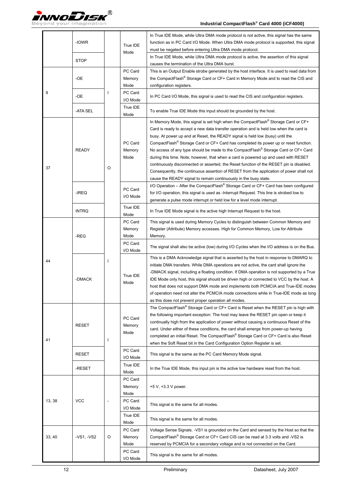

|        | -IOWR        |              | True IDE                                         | In True IDE Mode, while Ultra DMA mode protocol is not active, this signal has the same<br>function as in PC Card I/O Mode. When Ultra DMA mode protocol is supported, this signal<br>must be negated before entering Ultra DMA mode protocol.                                                                                                                                                                                                                                                                                                                                                                                                                                                                                                                                                           |
|--------|--------------|--------------|--------------------------------------------------|----------------------------------------------------------------------------------------------------------------------------------------------------------------------------------------------------------------------------------------------------------------------------------------------------------------------------------------------------------------------------------------------------------------------------------------------------------------------------------------------------------------------------------------------------------------------------------------------------------------------------------------------------------------------------------------------------------------------------------------------------------------------------------------------------------|
|        | <b>STOP</b>  |              | Mode                                             | In True IDE Mode, while Ultra DMA mode protocol is active, the assertion of this signal<br>causes the termination of the Ultra DMA burst.                                                                                                                                                                                                                                                                                                                                                                                                                                                                                                                                                                                                                                                                |
|        | -OE          |              | PC Card<br>Memory<br>Mode                        | This is an Output Enable strobe generated by the host interface. It is used to read data from<br>the CompactFlash® Storage Card or CF+ Card in Memory Mode and to read the CIS and<br>configuration registers.                                                                                                                                                                                                                                                                                                                                                                                                                                                                                                                                                                                           |
| 9      | -OE          |              | PC Card<br>I/O Mode                              | In PC Card I/O Mode, this signal is used to read the CIS and configuration registers.                                                                                                                                                                                                                                                                                                                                                                                                                                                                                                                                                                                                                                                                                                                    |
|        | -ATA SEL     |              | True IDE<br>Mode                                 | To enable True IDE Mode this input should be grounded by the host.                                                                                                                                                                                                                                                                                                                                                                                                                                                                                                                                                                                                                                                                                                                                       |
| 37     | <b>READY</b> | O            | PC Card<br>Memory<br>Mode                        | In Memory Mode, this signal is set high when the CompactFlash® Storage Card or CF+<br>Card is ready to accept a new data transfer operation and is held low when the card is<br>busy. At power up and at Reset, the READY signal is held low (busy) until the<br>CompactFlash <sup>®</sup> Storage Card or CF+ Card has completed its power up or reset function.<br>No access of any type should be made to the CompactFlash® Storage Card or CF+ Card<br>during this time. Note, however, that when a card is powered up and used with RESET<br>continuously disconnected or asserted, the Reset function of the RESET pin is disabled.<br>Consequently, the continuous assertion of RESET from the application of power shall not<br>cause the READY signal to remain continuously in the busy state. |
|        | -IREQ        |              | PC Card<br>I/O Mode                              | I/O Operation – After the CompactFlash® Storage Card or CF+ Card has been configured<br>for I/O operation, this signal is used as -Interrupt Request. This line is strobed low to<br>generate a pulse mode interrupt or held low for a level mode interrupt.                                                                                                                                                                                                                                                                                                                                                                                                                                                                                                                                             |
|        | <b>INTRQ</b> |              | True IDE<br>Mode                                 | In True IDE Mode signal is the active high Interrupt Request to the host.                                                                                                                                                                                                                                                                                                                                                                                                                                                                                                                                                                                                                                                                                                                                |
|        | -REG         |              | PC Card<br>Memory<br>Mode<br>PC Card<br>I/O Mode | This signal is used during Memory Cycles to distinguish between Common Memory and<br>Register (Attribute) Memory accesses. High for Common Memory, Low for Attribute<br>Memory.<br>The signal shall also be active (low) during I/O Cycles when the I/O address is on the Bus.                                                                                                                                                                                                                                                                                                                                                                                                                                                                                                                           |
| 44     | -DMACK       | $\mathbf{I}$ | True IDE<br>Mode                                 | This is a DMA Acknowledge signal that is asserted by the host in response to DMARQ to<br>initiate DMA transfers. While DMA operations are not active, the card shall ignore the<br>-DMACK signal, including a floating condition. If DMA operation is not supported by a True<br>IDE Mode only host, this signal should be driven high or connected to VCC by the host. A<br>host that does not support DMA mode and implements both PCMCIA and True-IDE modes<br>of operation need not alter the PCMCIA mode connections while in True-IDE mode as long<br>as this does not prevent proper operation all modes.                                                                                                                                                                                         |
| 41     | <b>RESET</b> | $\mathbf{I}$ | PC Card<br>Memory<br>Mode                        | The CompactFlash <sup>®</sup> Storage Card or CF+ Card is Reset when the RESET pin is high with<br>the following important exception: The host may leave the RESET pin open or keep it<br>continually high from the application of power without causing a continuous Reset of the<br>card. Under either of these conditions, the card shall emerge from power-up having<br>completed an initial Reset. The CompactFlash® Storage Card or CF+ Card is also Reset<br>when the Soft Reset bit in the Card Configuration Option Register is set.                                                                                                                                                                                                                                                            |
|        | <b>RESET</b> |              | PC Card<br>I/O Mode                              | This signal is the same as the PC Card Memory Mode signal.                                                                                                                                                                                                                                                                                                                                                                                                                                                                                                                                                                                                                                                                                                                                               |
|        | -RESET       |              | True IDE<br>Mode                                 | In the True IDE Mode, this input pin is the active low hardware reset from the host.                                                                                                                                                                                                                                                                                                                                                                                                                                                                                                                                                                                                                                                                                                                     |
|        |              |              | PC Card<br>Memory<br>Mode                        | +5 V, +3.3 V power.                                                                                                                                                                                                                                                                                                                                                                                                                                                                                                                                                                                                                                                                                                                                                                                      |
| 13, 38 | <b>VCC</b>   |              | PC Card<br>I/O Mode                              | This signal is the same for all modes.                                                                                                                                                                                                                                                                                                                                                                                                                                                                                                                                                                                                                                                                                                                                                                   |
|        |              |              | True IDE<br>Mode                                 | This signal is the same for all modes.                                                                                                                                                                                                                                                                                                                                                                                                                                                                                                                                                                                                                                                                                                                                                                   |
| 33, 40 | -VS1, -VS2   | O            | PC Card<br>Memory<br>Mode                        | Voltage Sense Signals. - VS1 is grounded on the Card and sensed by the Host so that the<br>CompactFlash® Storage Card or CF+ Card CIS can be read at 3.3 volts and -VS2 is<br>reserved by PCMCIA for a secondary voltage and is not connected on the Card.                                                                                                                                                                                                                                                                                                                                                                                                                                                                                                                                               |
|        |              |              | PC Card<br>I/O Mode                              | This signal is the same for all modes.                                                                                                                                                                                                                                                                                                                                                                                                                                                                                                                                                                                                                                                                                                                                                                   |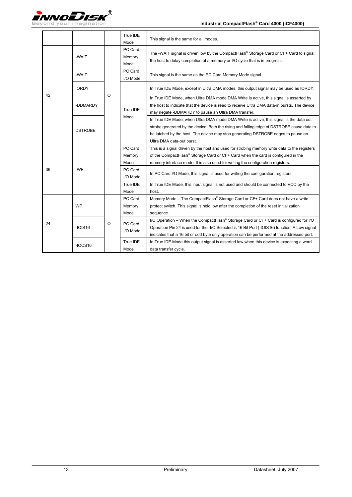

|    |                |              | True IDE<br>Mode          | This signal is the same for all modes.                                                                                                                                                                                                                                                               |
|----|----------------|--------------|---------------------------|------------------------------------------------------------------------------------------------------------------------------------------------------------------------------------------------------------------------------------------------------------------------------------------------------|
|    | -WAIT          | O            | PC Card<br>Memory<br>Mode | The -WAIT signal is driven low by the CompactFlash® Storage Card or CF+ Card to signal<br>the host to delay completion of a memory or I/O cycle that is in progress.                                                                                                                                 |
|    | -WAIT          |              | PC Card<br>I/O Mode       |                                                                                                                                                                                                                                                                                                      |
|    | <b>IORDY</b>   |              |                           | In True IDE Mode, except in Ultra DMA modes, this output signal may be used as IORDY.                                                                                                                                                                                                                |
| 42 | -DDMARDY       |              | True IDE<br>Mode          | In True IDE Mode, when Ultra DMA mode DMA Write is active, this signal is asserted by<br>the host to indicate that the device is read to receive Ultra DMA data-in bursts. The device<br>may negate -DDMARDY to pause an Ultra DMA transfer.                                                         |
|    | <b>DSTROBE</b> |              |                           | In True IDE Mode, when Ultra DMA mode DMA Write is active, this signal is the data out<br>strobe generated by the device. Both the rising and falling edge of DSTROBE cause data to<br>be latched by the host. The device may stop generating DSTROBE edges to pause an<br>Ultra DMA data-out burst. |
|    |                | <sup>1</sup> | PC Card<br>Memory<br>Mode | This is a signal driven by the host and used for strobing memory write data to the registers<br>of the CompactFlash® Storage Card or CF+ Card when the card is configured in the<br>memory interface mode. It is also used for writing the configuration registers.                                  |
| 36 | -WE            |              | PC Card<br>I/O Mode       | In PC Card I/O Mode, this signal is used for writing the configuration registers.                                                                                                                                                                                                                    |
|    |                |              | True IDE<br>Mode          | In True IDE Mode, this input signal is not used and should be connected to VCC by the<br>host.                                                                                                                                                                                                       |
|    | <b>WP</b>      |              | PC Card<br>Memory<br>Mode | Memory Mode - The CompactFlash® Storage Card or CF+ Card does not have a write<br>protect switch. This signal is held low after the completion of the reset initialization<br>sequence.                                                                                                              |
| 24 | $-IOIS16$      | $\circ$      | PC Card<br>I/O Mode       | I/O Operation - When the CompactFlash® Storage Card or CF+ Card is configured for I/O<br>Operation Pin 24 is used for the -I/O Selected is 16 Bit Port (-IOIS16) function. A Low signal<br>indicates that a 16 bit or odd byte only operation can be performed at the addressed port.                |
|    | $-IOCS16$      |              | True IDE<br>Mode          | In True IDE Mode this output signal is asserted low when this device is expecting a word<br>data transfer cycle.                                                                                                                                                                                     |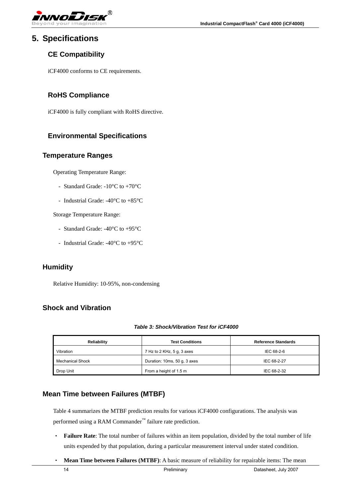<span id="page-13-0"></span>

### **5. Specifications**

### **CE Compatibility**

iCF4000 conforms to CE requirements.

#### **RoHS Compliance**

iCF4000 is fully compliant with RoHS directive.

### **Environmental Specifications**

#### **Temperature Ranges**

Operating Temperature Range:

- Standard Grade: -10°C to +70°C
- Industrial Grade: -40°C to +85°C

Storage Temperature Range:

- Standard Grade: -40°C to +95°C
- Industrial Grade: -40°C to +95°C

#### **Humidity**

Relative Humidity: 10-95%, non-condensing

### **Shock and Vibration**

#### *Table 3: Shock/Vibration Test for iCF4000*

| Reliability             | <b>Test Conditions</b>       | <b>Reference Standards</b> |
|-------------------------|------------------------------|----------------------------|
| Vibration               | 7 Hz to 2 KHz, 5 g, 3 axes   | IEC 68-2-6                 |
| <b>Mechanical Shock</b> | Duration: 10ms, 50 g, 3 axes | IEC 68-2-27                |
| Drop Unit               | From a height of 1.5 m       | IEC 68-2-32                |

#### **Mean Time between Failures (MTBF)**

Table 4 summarizes the MTBF prediction results for various iCF4000 configurations. The analysis was performed using a RAM Commander™ failure rate prediction.

- ‧ **Failure Rate**: The total number of failures within an item population, divided by the total number of life units expended by that population, during a particular measurement interval under stated condition.
- ‧ **Mean Time between Failures (MTBF)**: A basic measure of reliability for repairable items: The mean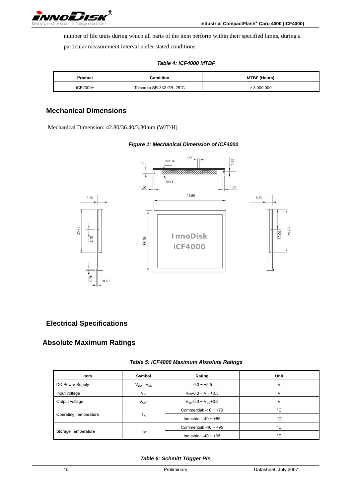<span id="page-14-0"></span>

number of life units during which all parts of the item perform within their specified limits, during a

particular measurement interval under stated conditions.

|  | <b>Table 4: iCF4000 MTBF</b> |  |
|--|------------------------------|--|
|--|------------------------------|--|

| Product  | Condition                 | <b>MTBF (Hours)</b> |
|----------|---------------------------|---------------------|
| iCF2000+ | Telcordia SR-332 GB, 25°C | > 3,000,000         |

### **Mechanical Dimensions**

Mechanical Dimension: 42.80/36.40/3.30mm (W/T/H)



#### *Figure 1: Mechanical Dimension of iCF4000*

#### **Electrical Specifications**

### **Absolute Maximum Ratings**

| Table 5: iCF4000 Maximum Absolute Ratings |  |
|-------------------------------------------|--|
|-------------------------------------------|--|

| <b>Item</b>                  | Symbol              | Rating                        | Unit |
|------------------------------|---------------------|-------------------------------|------|
| DC Power Supply              | $V_{DD}$ - $V_{SS}$ | $-0.3 - +5.5$                 |      |
| Input voltage                | $V_{IN}$            | $V_{SS}$ -0.3 ~ $V_{DD}$ +0.3 |      |
| Output voltage               | $V_{OUT}$           | $V_{ss}$ -0.3 ~ $V_{nn}$ +0.3 |      |
|                              |                     | Commercial: $-10 \sim +70$    | °C   |
| <b>Operating Temperature</b> | $T_A$               | Industrial: $-40 \sim +85$    | °C   |
|                              |                     | Commercial: $-40 \sim +95$    | °C   |
| Storage Temperature          | $T_{ST}$            | Industrial: $-40 \sim +95$    | °C   |

#### *Table 6: Schmitt Trigger Pin*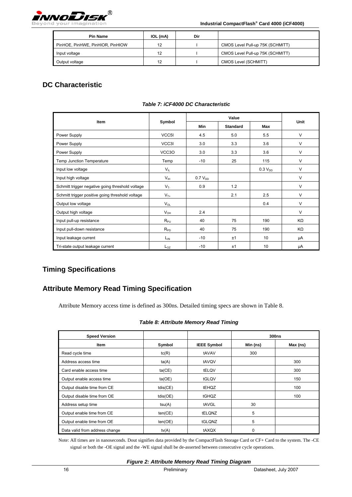<span id="page-15-0"></span>

**Industrial CompactFlash® Card 4000 (iCF4000)**

| <b>Pin Name</b>                  | IOL (mA) | Dir |                                  |
|----------------------------------|----------|-----|----------------------------------|
| PinHOE, PinHWE, PinHIOR, PinHIOW | 12       |     | CMOS Level Pull-up 75K (SCHMITT) |
| Input voltage                    | 12       |     | CMOS Level Pull-up 75K (SCHMITT) |
| Output voltage                   | 12       |     | CMOS Level (SCHMITT)             |

### **DC Characteristic**

|                                                  |                 |              | Value           |                     |        |
|--------------------------------------------------|-----------------|--------------|-----------------|---------------------|--------|
| <b>Item</b>                                      | Symbol          | Min          | <b>Standard</b> | Max                 | Unit   |
| Power Supply                                     | VCC5I           | 4.5          | 5.0             | 5.5                 | $\vee$ |
| Power Supply                                     | VCC3I           | 3.0          | 3.3             | 3.6                 | $\vee$ |
| Power Supply                                     | VCC3O           | 3.0          | 3.3             | 3.6                 | $\vee$ |
| Temp Junction Temperature                        | Temp            | $-10$        | 25              | 115                 | $\vee$ |
| Input low voltage                                | $V_{IL}$        |              |                 | 0.3 V <sub>DD</sub> | $\vee$ |
| Input high voltage                               | $V_{\text{IH}}$ | $0.7 V_{DD}$ |                 |                     | $\vee$ |
| Schmitt trigger negative going threshold voltage | $V_T$           | 0.9          | 1.2             |                     | $\vee$ |
| Schmitt trigger positive going threshold voltage | $V_{T+}$        |              | 2.1             | 2.5                 | $\vee$ |
| Output low voltage                               | $V_{OL}$        |              |                 | 0.4                 | $\vee$ |
| Output high voltage                              | $V_{OH}$        | 2.4          |                 |                     | $\vee$ |
| Input pull-up resistance                         | $R_{PU}$        | 40           | 75              | 190                 | KΩ     |
| Input pull-down resistance                       | $R_{PD}$        | 40           | 75              | 190                 | ΚΩ     |
| Input leakage current                            | $L_{IN}$        | $-10$        | ±1              | 10                  | μA     |
| Tri-state output leakage current                 | $L_{07}$        | $-10$        | ±1              | 10                  | μA     |

#### *Table 7: iCF4000 DC Characteristic*

### **Timing Specifications**

### **Attribute Memory Read Timing Specification**

Attribute Memory access time is defined as 300ns. Detailed timing specs are shown in Table 8.

#### *Table 8: Attribute Memory Read Timing*

| <b>Speed Version</b>           |          |                    |          | 300 <sub>ns</sub> |
|--------------------------------|----------|--------------------|----------|-------------------|
| Item                           | Symbol   | <b>IEEE Symbol</b> | Min (ns) | Max (ns)          |
| Read cycle time                | tc(R)    | tAVAV              | 300      |                   |
| Address access time            | ta(A)    | tAVQV              |          | 300               |
| Card enable access time        | ta(CE)   | tELQV              |          | 300               |
| Output enable access time      | ta(OE)   | tGLQV              |          | 150               |
| Output disable time from CE    | tdis(CE) | <b>tEHQZ</b>       |          | 100               |
| Output disable time from OE    | tdis(OE) | tGHQZ              |          | 100               |
| Address setup time             | tsu(A)   | tAVGL              | 30       |                   |
| Output enable time from CE     | ten(CE)  | <b>tELQNZ</b>      | 5        |                   |
| Output enable time from OE     | ten(OE)  | tGLQNZ             | 5        |                   |
| Data valid from address change | tv(A)    | tAXQX              | $\Omega$ |                   |

Note: All times are in nanoseconds. Dout signifies data provided by the CompactFlash Storage Card or CF+ Card to the system. The -CE signal or both the -OE signal and the -WE signal shall be de-asserted between consecutive cycle operations.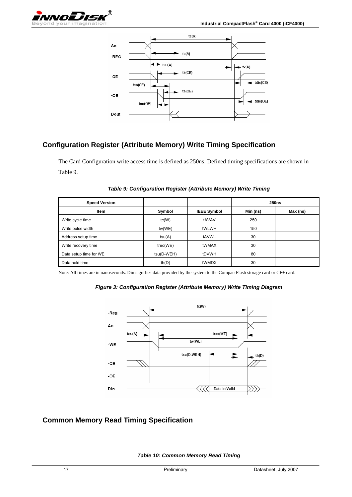<span id="page-16-0"></span>

### **Configuration Register (Attribute Memory) Write Timing Specification**

The Card Configuration write access time is defined as 250ns. Defined timing specifications are shown in Table 9.

| <b>Speed Version</b>   |            |                    | <b>250ns</b> |          |
|------------------------|------------|--------------------|--------------|----------|
| Item                   | Symbol     | <b>IEEE Symbol</b> | Min (ns)     | Max (ns) |
| Write cycle time       | tc(W)      | tAVAV              | 250          |          |
| Write pulse width      | tw(WE)     | tWLWH              | 150          |          |
| Address setup time     | tsu(A)     | tAVWL              | 30           |          |
| Write recovery time    | tree(WE)   | tWMAX              | 30           |          |
| Data setup time for WE | tsu(D-WEH) | tDVWH              | 80           |          |
| Data hold time         | th(D)      | tWMDX              | 30           |          |

*Table 9: Configuration Register (Attribute Memory) Write Timing* 

Note: All times are in nanoseconds. Din signifies data provided by the system to the CompactFlash storage card or CF+ card.

#### *Figure 3: Configuration Register (Attribute Memory) Write Timing Diagram*



### **Common Memory Read Timing Specification**

*Table 10: Common Memory Read Timing*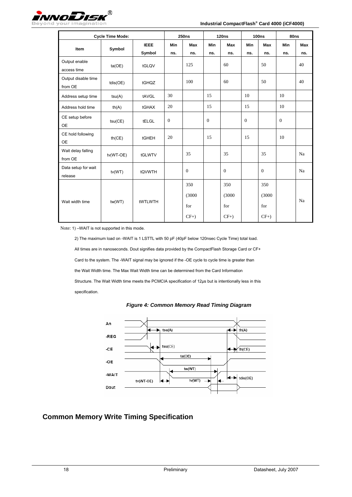<span id="page-17-0"></span>

|                                | <b>Cycle Time Mode:</b> |             |              | <b>250ns</b> |          | 120ns    |              | <b>100ns</b> | 80ns         |     |
|--------------------------------|-------------------------|-------------|--------------|--------------|----------|----------|--------------|--------------|--------------|-----|
| Item                           | Symbol                  | <b>IEEE</b> | <b>Min</b>   | <b>Max</b>   | Min      | Max      | Min          | Max          | Min          | Max |
|                                |                         | Symbol      | ns.          | ns.          | ns.      | ns.      | ns.          | ns.          | ns.          | ns. |
| Output enable<br>access time   | ta(OE)                  | tGLQV       |              | 125          |          | 60       |              | 50           |              | 40  |
| Output disable time<br>from OE | tdis(OE)                | tGHQZ       |              | 100          |          | 60       |              | 50           |              | 40  |
| Address setup time             | tsu(A)                  | tAVGL       | 30           |              | 15       |          | 10           |              | 10           |     |
| Address hold time              | th(A)                   | tGHAX       | 20           |              | 15       |          | 15           |              | 10           |     |
| CE setup before<br><b>OE</b>   | tsu(CE)                 | tELGL       | $\mathbf{0}$ |              | $\theta$ |          | $\mathbf{0}$ |              | $\mathbf{0}$ |     |
| CE hold following<br><b>OE</b> | th(CE)                  | tGHEH       | 20           |              | 15       |          | 15           |              | 10           |     |
| Wait delay falling<br>from OE  | tv(WT-OE)               | tGLWTV      |              | 35           |          | 35       |              | 35           |              | Na  |
| Data setup for wait<br>release | tv(WT)                  | tQVWTH      |              | $\mathbf{0}$ |          | $\theta$ |              | $\theta$     |              | Na  |
|                                |                         |             |              | 350          |          | 350      |              | 350          |              |     |
| Wait width time                |                         |             |              | (3000)       |          | (3000)   |              | (3000)       |              | Na  |
|                                | tw(WT)                  | tWTLWTH     |              | for          |          | for      |              | for          |              |     |
|                                |                         |             |              | $CF+$ )      |          | $CF+$ )  |              | $CF+$ )      |              |     |

Note: 1) –WAIT is not supported in this mode.

2) The maximum load on -WAIT is 1 LSTTL with 50 pF (40pF below 120nsec Cycle Time) total load. All times are in nanoseconds. Dout signifies data provided by the CompactFlash Storage Card or CF+ Card to the system. The -WAIT signal may be ignored if the -OE cycle to cycle time is greater than the Wait Width time. The Max Wait Width time can be determined from the Card Information Structure. The Wait Width time meets the PCMCIA specification of 12μs but is intentionally less in this specification.





### **Common Memory Write Timing Specification**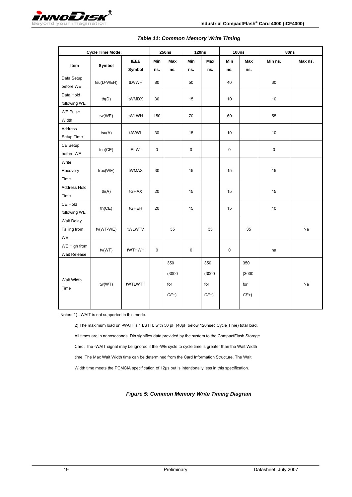<span id="page-18-0"></span>

|                                  | <b>Cycle Time Mode:</b> |                       |            | <b>250ns</b>                   | <b>120ns</b> |                                | <b>100ns</b> |                                | 80ns      |         |
|----------------------------------|-------------------------|-----------------------|------------|--------------------------------|--------------|--------------------------------|--------------|--------------------------------|-----------|---------|
| Item                             | Symbol                  | <b>IEEE</b><br>Symbol | Min<br>ns. | Max<br>ns.                     | Min<br>ns.   | Max<br>ns.                     | Min<br>ns.   | Max<br>ns.                     | Min ns.   | Max ns. |
| Data Setup<br>before WE          | tsu(D-WEH)              | tDVWH                 | 80         |                                | 50           |                                | 40           |                                | 30        |         |
| Data Hold<br>following WE        | th(D)                   | tWMDX                 | 30         |                                | 15           |                                | 10           |                                | $10$      |         |
| <b>WE Pulse</b><br>Width         | tw(WE)                  | tWLWH                 | 150        |                                | 70           |                                | 60           |                                | 55        |         |
| Address<br>Setup Time            | tsu(A)                  | tAVWL                 | 30         |                                | 15           |                                | 10           |                                | 10        |         |
| CE Setup<br>before WE            | tsu(CE)                 | tELWL                 | 0          |                                | $\pmb{0}$    |                                | $\pmb{0}$    |                                | $\pmb{0}$ |         |
| Write<br>Recovery<br>Time        | tree(WE)                | tWMAX                 | 30         |                                | 15           |                                | 15           |                                | 15        |         |
| Address Hold<br>Time             | th(A)                   | tGHAX                 | 20         |                                | 15           |                                | 15           |                                | 15        |         |
| CE Hold<br>following WE          | th(CE)                  | tGHEH                 | 20         |                                | 15           |                                | 15           |                                | 10        |         |
| Wait Delay<br>Falling from<br>WE | tv(WT-WE)               | tWLWTV                |            | 35                             |              | 35                             |              | 35                             |           | Na      |
| WE High from<br>Wait Release     | tv(WT)                  | tWTHWH                | 0          |                                | $\pmb{0}$    |                                | $\pmb{0}$    |                                | na        |         |
| Wait Width<br>Time               | tw(WT)                  | tWTLWTH               |            | 350<br>(3000)<br>for<br>$CF+)$ |              | 350<br>(3000)<br>for<br>$CF+)$ |              | 350<br>(3000)<br>for<br>$CF+)$ |           | Na      |

#### *Table 11: Common Memory Write Timing*

Notes: 1) –WAIT is not supported in this mode.

2) The maximum load on -WAIT is 1 LSTTL with 50 pF (40pF below 120nsec Cycle Time) total load. All times are in nanoseconds. Din signifies data provided by the system to the CompactFlash Storage Card. The -WAIT signal may be ignored if the -WE cycle to cycle time is greater than the Wait Width time. The Max Wait Width time can be determined from the Card Information Structure. The Wait Width time meets the PCMCIA specification of 12μs but is intentionally less in this specification.

*Figure 5: Common Memory Write Timing Diagram*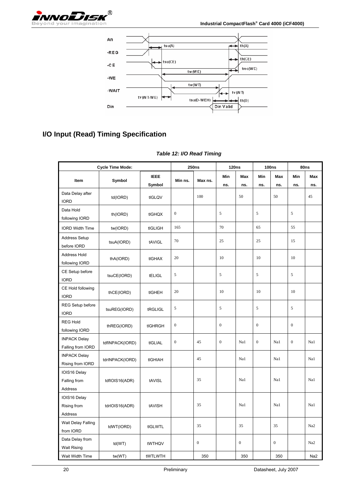<span id="page-19-0"></span>



### **I/O Input (Read) Timing Specification**

| <b>Cycle Time Mode:</b>                  |                 | <b>250ns</b>  |                  | <b>120ns</b>     |                  | <b>100ns</b>     |                  | 80ns             |                  |                 |
|------------------------------------------|-----------------|---------------|------------------|------------------|------------------|------------------|------------------|------------------|------------------|-----------------|
|                                          |                 | <b>IEEE</b>   |                  | Max ns.          | Min              | Max              | Min              | Max              | Min              | Max             |
| Item                                     | Symbol          | Symbol        | Min ns.          |                  | ns.              | ns.              | ns.              | ns.              | ns.              | ns.             |
| Data Delay after<br><b>IORD</b>          | td(IORD)        | tIGLQV        |                  | 100              |                  | 50               |                  | 50               |                  | 45              |
| Data Hold<br>following IORD              | th(IORD)        | tIGHQX        | $\boldsymbol{0}$ |                  | 5                |                  | 5                |                  | 5                |                 |
| <b>IORD Width Time</b>                   | tw(IORD)        | tIGLIGH       | 165              |                  | 70               |                  | 65               |                  | 55               |                 |
| <b>Address Setup</b><br>before IORD      | tsuA(IORD)      | tAVIGL        | 70               |                  | 25               |                  | 25               |                  | 15               |                 |
| Address Hold<br>following IORD           | thA(IORD)       | tIGHAX        | 20               |                  | 10               |                  | 10               |                  | 10               |                 |
| CE Setup before<br><b>IORD</b>           | tsuCE(IORD)     | <b>tELIGL</b> | 5                |                  | 5                |                  | $\sqrt{5}$       |                  | 5                |                 |
| CE Hold following<br><b>IORD</b>         | thCE(IORD)      | tIGHEH        | 20               |                  | 10               |                  | 10               |                  | 10               |                 |
| REG Setup before<br><b>IORD</b>          | tsuREG(IORD)    | tRGLIGL       | 5                |                  | 5                |                  | 5                |                  | 5                |                 |
| <b>REG Hold</b><br>following IORD        | thREG(IORD)     | tIGHRGH       | $\boldsymbol{0}$ |                  | $\boldsymbol{0}$ |                  | $\boldsymbol{0}$ |                  | $\boldsymbol{0}$ |                 |
| <b>INPACK Delay</b><br>Falling from IORD | tdfINPACK(IORD) | tIGLIAL       | $\boldsymbol{0}$ | 45               | $\mathbf{0}$     | Na1              | $\mathbf{0}$     | Na1              | $\mathbf{0}$     | Na1             |
| <b>INPACK Delay</b><br>Rising from IORD  | tdrINPACK(IORD) | tIGHIAH       |                  | 45               |                  | Na1              |                  | Na1              |                  | Na1             |
| IOIS16 Delay<br>Falling from<br>Address  | tdflOIS16(ADR)  | tAVISL        |                  | 35               |                  | Na1              |                  | Na1              |                  | Na1             |
| IOIS16 Delay<br>Rising from<br>Address   | tdrIOIS16(ADR)  | tAVISH        |                  | 35               |                  | Na1              |                  | Na1              |                  | Na1             |
| Wait Delay Falling<br>from IORD          | tdWT(IORD)      | tIGLWTL       |                  | 35               |                  | 35               |                  | 35               |                  | Na2             |
| Data Delay from<br><b>Wait Rising</b>    | td(WT)          | tWTHQV        |                  | $\boldsymbol{0}$ |                  | $\boldsymbol{0}$ |                  | $\boldsymbol{0}$ |                  | Na2             |
| Wait Width Time                          | tw(WT)          | tWTLWTH       |                  | 350              |                  | 350              |                  | 350              |                  | Na <sub>2</sub> |

#### *Table 12: I/O Read Timing*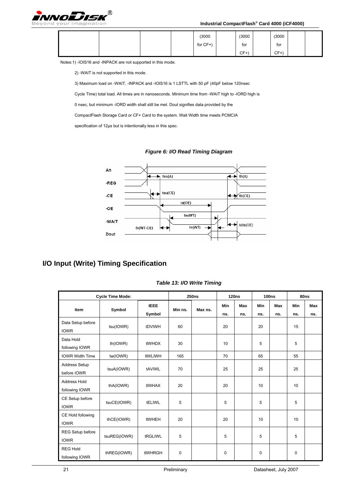<span id="page-20-0"></span>

#### **Industrial CompactFlash® Card 4000 (iCF4000)**

|  |  | (3000)  | (3000) | (3000)            |  |
|--|--|---------|--------|-------------------|--|
|  |  | for CF+ | for    | $\epsilon$<br>for |  |
|  |  |         | $CF+$  | CF+               |  |

Notes:1) -IOIS16 and -INPACK are not supported in this mode.

2) -WAIT is not supported in this mode.

3) Maximum load on -WAIT, -INPACK and -IOIS16 is 1 LSTTL with 50 pF (40pF below 120nsec

Cycle Time) total load. All times are in nanoseconds. Minimum time from -WAIT high to -IORD high is

0 nsec, but minimum -IORD width shall still be met. Dout signifies data provided by the

CompactFlash Storage Card or CF+ Card to the system. Wait Width time meets PCMCIA

specification of 12μs but is intentionally less in this spec.

*Figure 6: I/O Read Timing Diagram* 



### **I/O Input (Write) Timing Specification**

| <b>Cycle Time Mode:</b>             |              |                       | <b>250ns</b> |         | <b>120ns</b> |            | <b>100ns</b> |                   | 80ns        |            |
|-------------------------------------|--------------|-----------------------|--------------|---------|--------------|------------|--------------|-------------------|-------------|------------|
| <b>Item</b>                         | Symbol       | <b>IEEE</b><br>Symbol | Min ns.      | Max ns. | Min<br>ns.   | Max<br>ns. | Min<br>ns.   | <b>Max</b><br>ns. | Min<br>ns.  | Max<br>ns. |
| Data Setup before<br><b>IOWR</b>    | tsu(IOWR)    | tDVIWH                | 60           |         | 20           |            | 20           |                   | 15          |            |
| Data Hold<br>following IOWR         | th(IOWR)     | tIWHDX                | 30           |         | 10           |            | 5            |                   | 5           |            |
| <b>IOWR Width Time</b>              | tw(IOWR)     | tIWLIWH               | 165          |         | 70           |            | 65           |                   | 55          |            |
| <b>Address Setup</b><br>before IOWR | tsuA(IOWR)   | tAVIWL                | 70           |         | 25           |            | 25           |                   | 25          |            |
| Address Hold<br>following IOWR      | thA(IOWR)    | tIWHAX                | 20           |         | 20           |            | 10           |                   | 10          |            |
| CE Setup before<br><b>IOWR</b>      | tsuCE(IOWR)  | tELIWL                | 5            |         | 5            |            | 5            |                   | 5           |            |
| CE Hold following<br><b>IOWR</b>    | thCE(IOWR)   | tIWHEH                | 20           |         | 20           |            | 10           |                   | 10          |            |
| REG Setup before<br><b>IOWR</b>     | tsuREG(IOWR) | tRGLIWL               | 5            |         | 5            |            | 5            |                   | 5           |            |
| <b>REG Hold</b><br>following IOWR   | thREG(IOWR)  | tIWHRGH               | $\mathbf 0$  |         | $\Omega$     |            | 0            |                   | $\mathbf 0$ |            |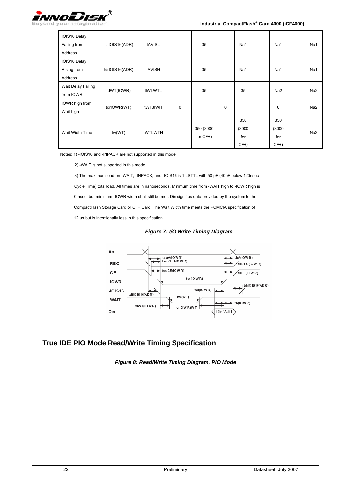<span id="page-21-0"></span>

| IOIS16 Delay<br>Falling from<br>Address | tdflOIS16(ADR) | tAVISL         |             | 35                       |             | Na1                            | Na1                            | Na1             |
|-----------------------------------------|----------------|----------------|-------------|--------------------------|-------------|--------------------------------|--------------------------------|-----------------|
| IOIS16 Delay<br>Rising from<br>Address  | tdrIOIS16(ADR) | tAVISH         |             | 35                       |             | Na1                            | Na1                            | Na1             |
| Wait Delay Falling<br>from IOWR         | tdWT(IOWR)     | tIWLWTL        |             | 35                       |             | 35                             | Na <sub>2</sub>                | Na <sub>2</sub> |
| IOWR high from<br>Wait high             | tdrIOWR(WT)    | <b>tWTJIWH</b> | $\mathbf 0$ |                          | $\mathbf 0$ |                                | $\mathbf 0$                    | Na <sub>2</sub> |
| Wait Width Time                         | tw(WT)         | tWTLWTH        |             | 350 (3000<br>for $CF+$ ) |             | 350<br>(3000)<br>for<br>$CF+)$ | 350<br>(3000)<br>for<br>$CF+)$ | Na <sub>2</sub> |

Notes: 1) -IOIS16 and -INPACK are not supported in this mode.

2) -WAIT is not supported in this mode.

3) The maximum load on -WAIT, -INPACK, and -IOIS16 is 1 LSTTL with 50 pF (40pF below 120nsec Cycle Time) total load. All times are in nanoseconds. Minimum time from -WAIT high to -IOWR high is 0 nsec, but minimum -IOWR width shall still be met. Din signifies data provided by the system to the CompactFlash Storage Card or CF+ Card. The Wait Width time meets the PCMCIA specification of 12 μs but is intentionally less in this specification.

*Figure 7: I/O Write Timing Diagram* 



### **True IDE PIO Mode Read/Write Timing Specification**

*Figure 8: Read/Write Timing Diagram, PIO Mode*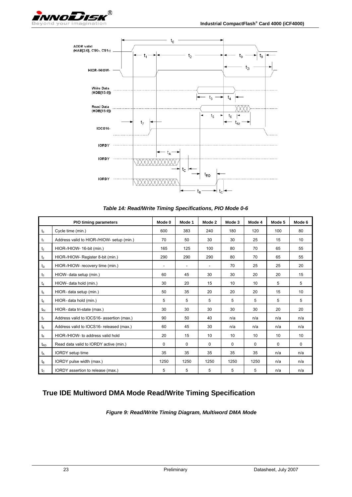<span id="page-22-0"></span>



*Table 14: Read/Write Timing Specifications, PIO Mode 0-6* 

|                | <b>PIO timing parameters</b>              | Mode 0                   | Mode 1                   | Mode 2   | Mode 3 | Mode 4   | Mode 5   | Mode 6   |
|----------------|-------------------------------------------|--------------------------|--------------------------|----------|--------|----------|----------|----------|
| $t_0$          | Cycle time (min.)                         | 600                      | 383                      | 240      | 180    | 120      | 100      | 80       |
| $t_1$          | Address valid to HIOR-/HIOW- setup (min.) | 70                       | 50                       | 30       | 30     | 25       | 15       | 10       |
| t <sub>2</sub> | HIOR-/HIOW- 16-bit (min.)                 | 165                      | 125                      | 100      | 80     | 70       | 65       | 55       |
| t <sub>2</sub> | HIOR-/HIOW- Register 8-bit (min.)         | 290                      | 290                      | 290      | 80     | 70       | 65       | 55       |
| $t_{2i}$       | HIOR-/HIOW- recovery time (min.)          | $\overline{\phantom{0}}$ | $\overline{\phantom{a}}$ |          | 70     | 25       | 25       | 20       |
| $t_3$          | HIOW- data setup (min.)                   | 60                       | 45                       | 30       | 30     | 20       | 20       | 15       |
| $t_4$          | HIOW- data hold (min.)                    | 30                       | 20                       | 15       | 10     | 10       | 5        | 5        |
| t <sub>5</sub> | HIOR- data setup (min.)                   | 50                       | 35                       | 20       | 20     | 20       | 15       | 10       |
| $t_6$          | HIOR- data hold (min.)                    | 5                        | 5                        | 5        | 5      | 5        | 5        | 5        |
| $t_{6z}$       | HIOR- data tri-state (max.)               | 30                       | 30                       | 30       | 30     | 30       | 20       | 20       |
| t <sub>7</sub> | Address valid to IOCS16- assertion (max.) | 90                       | 50                       | 40       | n/a    | n/a      | n/a      | n/a      |
| $t_8$          | Address valid to IOCS16- released (max.)  | 60                       | 45                       | 30       | n/a    | n/a      | n/a      | n/a      |
| $t_{9}$        | HIOR-/HIOW- to address valid hold         | 20                       | 15                       | 10       | 10     | 10       | 10       | 10       |
| $t_{RD}$       | Read data valid to IORDY active (min.)    | 0                        | $\Omega$                 | $\Omega$ | 0      | $\Omega$ | $\Omega$ | $\Omega$ |
| t <sub>A</sub> | <b>IORDY</b> setup time                   | 35                       | 35                       | 35       | 35     | 35       | n/a      | n/a      |
| $t_B$          | IORDY pulse width (max.)                  | 1250                     | 1250                     | 1250     | 1250   | 1250     | n/a      | n/a      |
| $t_c$          | IORDY assertion to release (max.)         | 5                        | 5                        | 5        | 5      | 5        | n/a      | n/a      |

### **True IDE Multiword DMA Mode Read/Write Timing Specification**

*Figure 9: Read/Write Timing Diagram, Multiword DMA Mode*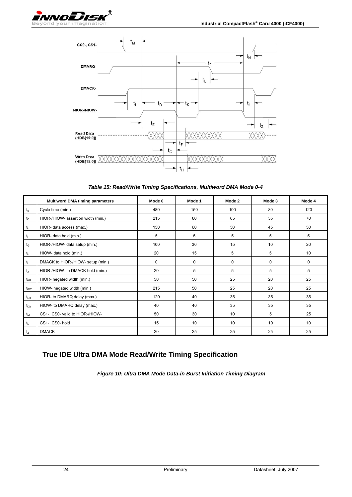<span id="page-23-0"></span>

*Table 15: Read/Write Timing Specifications, Multiword DMA Mode 0-4* 

|                 | <b>Multiword DMA timing parameters</b> | Mode 0 | Mode 1 | Mode 2      | Mode 3 | Mode 4 |
|-----------------|----------------------------------------|--------|--------|-------------|--------|--------|
| $t_0$           | Cycle time (min.)                      | 480    | 150    | 100         | 80     | 120    |
| $t_{\text{D}}$  | HIOR-/HIOW- assertion width (min.)     | 215    | 80     | 65          | 55     | 70     |
| $t_{E}$         | HIOR- data access (max.)               | 150    | 60     | 50          | 45     | 50     |
| tF              | HIOR- data hold (min.)                 | 5      | 5      | 5           | 5      | 5      |
| $t_G$           | HIOR-/HIOW- data setup (min.)          | 100    | 30     | 15          | 10     | 20     |
| $t_H$           | HIOW- data hold (min.)                 | 20     | 15     | 5           | 5      | 10     |
| $t_1$           | DMACK to HIOR-/HIOW- setup (min.)      | 0      | 0      | $\mathbf 0$ | 0      | 0      |
| $t_{\rm J}$     | HIOR-/HIOW- to DMACK hold (min.)       | 20     | 5      | 5           | 5      | 5      |
| $t_{\rm KR}$    | HIOR- negated width (min.)             | 50     | 50     | 25          | 20     | 25     |
| t <sub>kw</sub> | HIOW- negated width (min.)             | 215    | 50     | 25          | 20     | 25     |
| $t_{LR}$        | HIOR- to DMARQ delay (max.)            | 120    | 40     | 35          | 35     | 35     |
| $t_{LW}$        | HIOW- to DMARQ delay (max.)            | 40     | 40     | 35          | 35     | 35     |
| $t_{M}$         | CS1-, CS0- valid to HIOR-/HIOW-        | 50     | 30     | 10          | 5      | 25     |
| $t_{\rm N}$     | CS1-, CS0-hold                         | 15     | 10     | 10          | 10     | 10     |
| tz              | DMACK-                                 | 20     | 25     | 25          | 25     | 25     |

### **True IDE Ultra DMA Mode Read/Write Timing Specification**

*Figure 10: Ultra DMA Mode Data-in Burst Initiation Timing Diagram*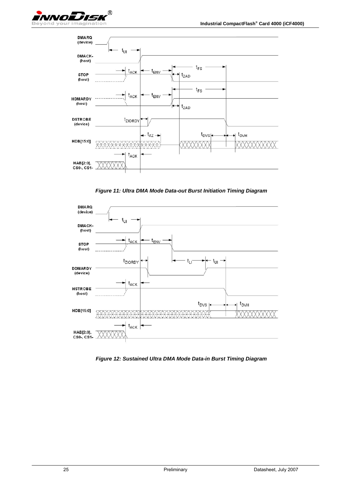<span id="page-24-0"></span>

*Figure 11: Ultra DMA Mode Data-out Burst Initiation Timing Diagram* 



*Figure 12: Sustained Ultra DMA Mode Data-in Burst Timing Diagram*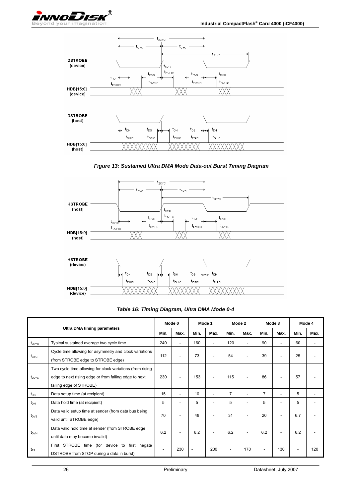<span id="page-25-0"></span>



*Figure 13: Sustained Ultra DMA Mode Data-out Burst Timing Diagram* 



#### *Table 16: Timing Diagram, Ultra DMA Mode 0-4*

| <b>Ultra DMA timing parameters</b> |                                                                                                                                               | Mode 0 |      | Mode 1                   |      | Mode 2 |      | Mode 3 |      | Mode 4 |      |
|------------------------------------|-----------------------------------------------------------------------------------------------------------------------------------------------|--------|------|--------------------------|------|--------|------|--------|------|--------|------|
|                                    |                                                                                                                                               | Min.   | Max. | Min.                     | Max. | Min.   | Max. | Min.   | Max. | Min.   | Max. |
| $t_{2CYC}$                         | Typical sustained average two cycle time                                                                                                      | 240    | ٠    | 160                      | ۰    | 120    | ٠    | 90     | ۰    | 60     | ٠    |
| t <sub>cyc</sub>                   | Cycle time allowing for asymmetry and clock variations<br>(from STROBE edge to STROBE edge)                                                   | 112    | ٠    | 73                       | ۰    | 54     | ۰    | 39     | ۰    | 25     |      |
| $t_{2CYC}$                         | Two cycle time allowing for clock variations (from rising<br>edge to next rising edge or from falling edge to next<br>falling edge of STROBE) | 230    | ٠    | 153                      | ۰    | 115    | ٠    | 86     | ٠    | 57     |      |
| $t_{DS}$                           | Data setup time (at recipient)                                                                                                                | 15     | ٠    | 10                       | ÷    | 7      | ÷    | 7      | ÷    | 5      |      |
| $t_{\text{DH}}$                    | Data hold time (at recipient)                                                                                                                 | 5      | ٠    | 5                        |      | 5      | ٠    | 5      | ٠    | 5      |      |
| $t_{\text{DVS}}$                   | Data valid setup time at sender (from data bus being<br>valid until STROBE edge)                                                              | 70     | ۰    | 48                       |      | 31     | ٠    | 20     |      | 6.7    |      |
| $t_{\text{DVH}}$                   | Data valid hold time at sender (from STROBE edge<br>until data may become invalid)                                                            | 6.2    | ۰    | 6.2                      |      | 6.2    | ۰    | 6.2    |      | 6.2    |      |
| $t_{FS}$                           | First STROBE<br>time (for device to<br>first negate<br>DSTROBE from STOP during a data in burst)                                              | ۰      | 230  | $\overline{\phantom{a}}$ | 200  |        | 170  | ٠      | 130  | ٠      | 120  |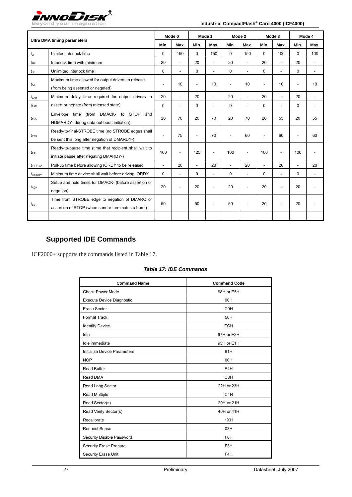<span id="page-26-0"></span>

| <b>Ultra DMA timing parameters</b> |                                                                                                     |                          | Mode 0 | Mode 1   |                | Mode 2                   |      | Mode 3   |      | Mode 4         |                          |
|------------------------------------|-----------------------------------------------------------------------------------------------------|--------------------------|--------|----------|----------------|--------------------------|------|----------|------|----------------|--------------------------|
|                                    |                                                                                                     | Min.                     | Max.   | Min.     | Max.           | Min.                     | Max. | Min.     | Max. | Min.           | Max.                     |
| $t_{Li}$                           | Limited interlock time                                                                              | $\Omega$                 | 150    | $\Omega$ | 150            | $\Omega$                 | 150  | 0        | 100  | $\Omega$       | 100                      |
| $t_{\rm MLI}$                      | Interlock time with minimum                                                                         | 20                       | ÷.     | 20       | ÷              | 20                       |      | 20       |      | 20             | ÷                        |
| $t_{UI}$                           | Unlimited interlock time                                                                            | 0                        | ÷.     | 0        |                | $\mathbf 0$              |      | $\Omega$ | ÷    | $\mathbf 0$    | ÷,                       |
| $t_{AZ}$                           | Maximum time allowed for output drivers to release<br>(from being asserted or negated)              | $\overline{\phantom{a}}$ | 10     |          | 10             |                          | 10   |          | 10   | ٠              | 10                       |
| t <sub>ZAH</sub>                   | Minimum delay time required for output drivers to                                                   | 20                       | L,     | 20       | $\overline{a}$ | 20                       | ÷    | 20       | ÷,   | 20             | $\overline{\phantom{a}}$ |
| t <sub>zad</sub>                   | assert or negate (from released state)                                                              | $\Omega$                 | ÷.     | 0        |                | $\Omega$                 |      | 0        | ÷,   | 0              | $\overline{a}$           |
| t <sub>ENV</sub>                   | Envelope time (from DMACK- to<br><b>STOP</b><br>and<br>HDMARDY- during data out burst initiation)   | 20                       | 70     | 20       | 70             | 20                       | 70   | 20       | 55   | 20             | 55                       |
| $t_{\text{RFS}}$                   | Ready-to-final-STROBE time (no STROBE edges shall<br>be sent this long after negation of DMARDY-)   | $\overline{\phantom{a}}$ | 75     |          | 70             |                          | 60   |          | 60   |                | 60                       |
| $t_{RP}$                           | Ready-to-pause time (time that recipient shall wait to<br>initiate pause after negating DMARDY-)    | 160                      | ÷,     | 125      | ٠              | 100                      |      | 100      | ÷    | 100            |                          |
| t <sub>IORDYZ</sub>                | Pull-up time before allowing IORDY to be released                                                   | ÷,                       | 20     | $\sim$   | 20             | $\overline{\phantom{a}}$ | 20   | $\sim$   | 20   | $\blacksquare$ | 20                       |
| tziordy                            | Minimum time device shall wait before driving IORDY                                                 | 0                        |        | 0        |                | $\mathbf 0$              |      | 0        |      | $\mathbf 0$    | ä,                       |
| $t_{ACK}$                          | Setup and hold times for DMACK- (before assertion or<br>negation)                                   | 20                       | ÷      | 20       |                | 20                       |      | 20       | ÷    | 20             |                          |
| $t_{SS}$                           | Time from STROBE edge to negation of DMARQ or<br>assertion of STOP (when sender terminates a burst) | 50                       |        | 50       |                | 50                       |      | 20       |      | 20             |                          |
|                                    |                                                                                                     |                          |        |          |                |                          |      |          |      |                |                          |

## **Supported IDE Commands**

iCF2000+ supports the commands listed in Table 17.

|  | Table 17: IDE Commands |
|--|------------------------|
|  |                        |

| <b>Command Name</b>              | <b>Command Code</b> |
|----------------------------------|---------------------|
| <b>Check Power Mode</b>          | 98H or E5H          |
| <b>Execute Device Diagnostic</b> | 90H                 |
| Erase Sector                     | C <sub>OH</sub>     |
| <b>Format Track</b>              | 50H                 |
| <b>Identify Device</b>           | <b>ECH</b>          |
| Idle                             | 97H or E3H          |
| Idle immediate                   | 95H or E1H          |
| Initialize Device Parameters     | 91H                 |
| <b>NOP</b>                       | 00H                 |
| Read Buffer                      | E4H                 |
| Read DMA                         | C8H                 |
| Read Long Sector                 | 22H or 23H          |
| Read Multiple                    | C <sub>4</sub> H    |
| Read Sector(s)                   | 20H or 21H          |
| Read Verify Sector(s)            | 40H or 41H          |
| Recalibrate                      | 1XH                 |
| <b>Request Sense</b>             | 03H                 |
| Security Disable Password        | F6H                 |
| Security Erase Prepare           | F3H                 |
| <b>Security Erase Unit</b>       | F4H                 |